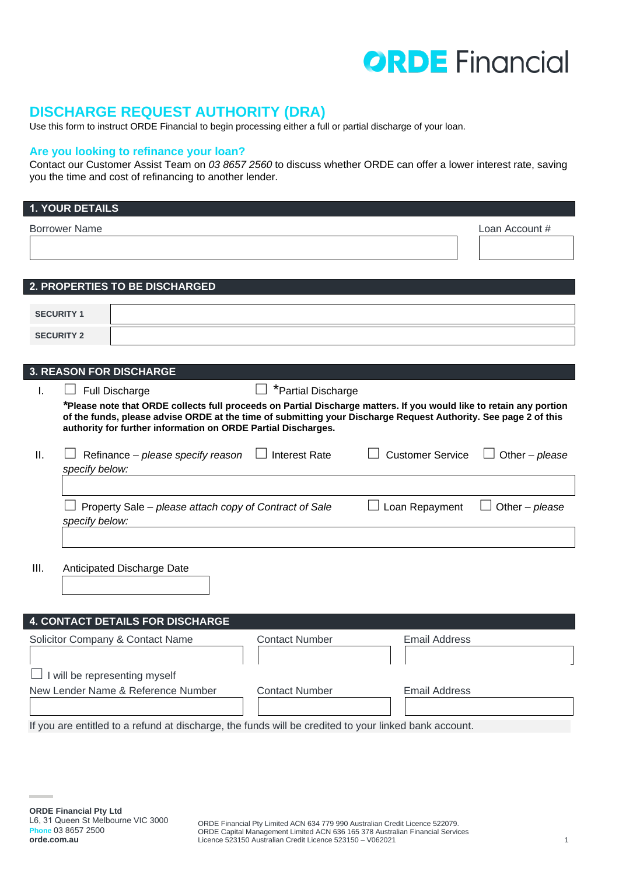# **ORDE** Financial

# **DISCHARGE REQUEST AUTHORITY (DRA)**

Use this form to instruct ORDE Financial to begin processing either a full or partial discharge of your loan.

# **Are you looking to refinance your loan?**

Contact our Customer Assist Team on *03 8657 2560* to discuss whether ORDE can offer a lower interest rate, saving you the time and cost of refinancing to another lender.

|                                                                              | <b>1. YOUR DETAILS</b> |                                                                                                                                                                                                                                                                                                         |                       |                         |                |
|------------------------------------------------------------------------------|------------------------|---------------------------------------------------------------------------------------------------------------------------------------------------------------------------------------------------------------------------------------------------------------------------------------------------------|-----------------------|-------------------------|----------------|
| <b>Borrower Name</b>                                                         | Loan Account #         |                                                                                                                                                                                                                                                                                                         |                       |                         |                |
|                                                                              |                        |                                                                                                                                                                                                                                                                                                         |                       |                         |                |
|                                                                              |                        |                                                                                                                                                                                                                                                                                                         |                       |                         |                |
|                                                                              |                        | 2. PROPERTIES TO BE DISCHARGED                                                                                                                                                                                                                                                                          |                       |                         |                |
|                                                                              |                        |                                                                                                                                                                                                                                                                                                         |                       |                         |                |
|                                                                              | <b>SECURITY 1</b>      |                                                                                                                                                                                                                                                                                                         |                       |                         |                |
|                                                                              | <b>SECURITY 2</b>      |                                                                                                                                                                                                                                                                                                         |                       |                         |                |
|                                                                              |                        |                                                                                                                                                                                                                                                                                                         |                       |                         |                |
|                                                                              |                        | <b>3. REASON FOR DISCHARGE</b>                                                                                                                                                                                                                                                                          |                       |                         |                |
| I.                                                                           |                        | Full Discharge                                                                                                                                                                                                                                                                                          | *Partial Discharge    |                         |                |
|                                                                              |                        | *Please note that ORDE collects full proceeds on Partial Discharge matters. If you would like to retain any portion<br>of the funds, please advise ORDE at the time of submitting your Discharge Request Authority. See page 2 of this<br>authority for further information on ORDE Partial Discharges. |                       |                         |                |
| Ш.                                                                           | specify below:         | Refinance - please specify reason                                                                                                                                                                                                                                                                       | $\Box$ Interest Rate  | <b>Customer Service</b> | Other - please |
|                                                                              |                        |                                                                                                                                                                                                                                                                                                         |                       |                         |                |
|                                                                              | specify below:         | Property Sale – please attach copy of Contract of Sale                                                                                                                                                                                                                                                  |                       | Loan Repayment          | Other - please |
|                                                                              |                        |                                                                                                                                                                                                                                                                                                         |                       |                         |                |
| III.                                                                         |                        | Anticipated Discharge Date                                                                                                                                                                                                                                                                              |                       |                         |                |
|                                                                              |                        |                                                                                                                                                                                                                                                                                                         |                       |                         |                |
|                                                                              |                        |                                                                                                                                                                                                                                                                                                         |                       |                         |                |
|                                                                              |                        | <b>4. CONTACT DETAILS FOR DISCHARGE</b>                                                                                                                                                                                                                                                                 |                       |                         |                |
|                                                                              |                        | Solicitor Company & Contact Name                                                                                                                                                                                                                                                                        | <b>Contact Number</b> | <b>Email Address</b>    |                |
|                                                                              |                        |                                                                                                                                                                                                                                                                                                         |                       |                         |                |
|                                                                              |                        | I will be representing myself                                                                                                                                                                                                                                                                           |                       |                         |                |
| New Lender Name & Reference Number<br><b>Contact Number</b><br>Email Address |                        |                                                                                                                                                                                                                                                                                                         |                       |                         |                |

If you are entitled to a refund at discharge, the funds will be credited to your linked bank account.